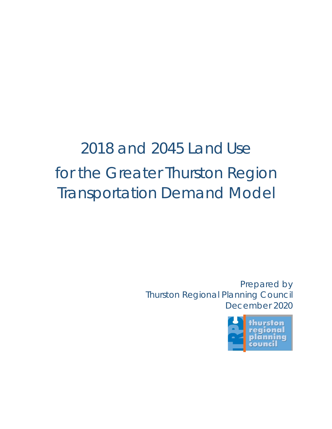# 2018 and 2045 LandUse for the Greater Thurston Region Transportation Demand Model

Prepared by Thurston Regional Planning Council December 2020

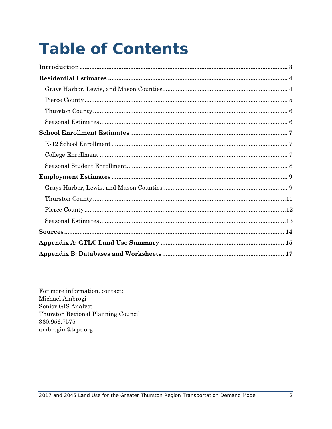# **Table of Contents**

For more information, contact: Michael Ambrogi Senior GIS Analyst Thurston Regional Planning Council 360.956.7575 ambrogim@trpc.org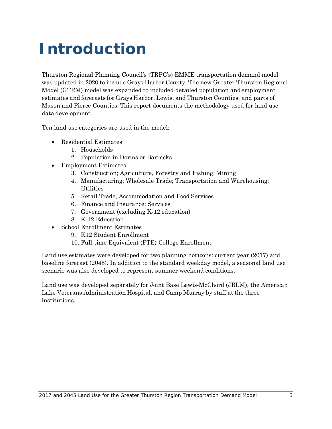## <span id="page-2-0"></span>**Introduction**

Thurston Regional Planning Council's (TRPC's) EMME transportation demand model was updated in 2020 to include Grays Harbor County. The new Greater Thurston Regional Model (GTRM) model was expanded to included detailed population andemployment estimates and forecasts for Grays Harbor, Lewis, and Thurston Counties, and parts of Mason and Pierce Counties. This report documents the methodology used for land use data development.

Ten land use categories are used in the model:

- Residential Estimates
	- 1. Households
	- 2. Population in Dorms or Barracks
- Employment Estimates
	- 3. Construction; Agriculture, Forestry and Fishing; Mining
	- 4. Manufacturing; Wholesale Trade; Transportation and Warehousing; Utilities
	- 5. Retail Trade, Accommodation and Food Services
	- 6. Finance and Insurance; Services
	- 7. Government (excluding K-12 education)
	- 8. K-12 Education
- School Enrollment Estimates
	- 9. K12 Student Enrollment
	- 10. Full-time Equivalent (FTE) College Enrollment

Land use estimates were developed for two planning horizons: current year (2017) and baseline forecast (2045). In addition to the standard weekday model, a seasonal land use scenario was also developed to represent summer weekend conditions.

Land use was developed separately for Joint Base Lewis-McChord (JBLM), the American Lake Veterans Administration Hospital, and Camp Murray by staff at the three institutions.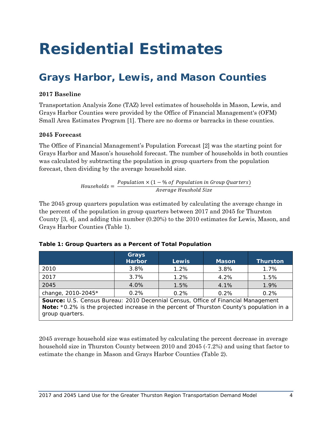## <span id="page-3-0"></span>**Residential Estimates**

## <span id="page-3-1"></span>**Grays Harbor, Lewis, and Mason Counties**

### **2017 Baseline**

Transportation Analysis Zone (TAZ) level estimates of households in Mason, Lewis, and Grays Harbor Counties were provided by the Office of Financial Management's (OFM) Small Area Estimates Program [1]. There are no dorms or barracks in these counties.

### **2045 Forecast**

The Office of Financial Management's Population Forecast [2] was the starting point for Grays Harbor and Mason's household forecast. The number of households in both counties was calculated by subtracting the population in group quarters from the population forecast, then dividing by the average household size.

 $Households = \frac{Population \times (1 - \% \text{ of Population in Group Quarterly})}{Average \text{ House} }$ 

The 2045 group quarters population was estimated by calculating the average change in the percent of the population in group quarters between 2017 and 2045 for Thurston County [3, 4], and adding this number (0.20%) to the 2010 estimates for Lewis, Mason, and Grays Harbor Counties [\(Table 1\)](#page-3-2).

|                    | Grays<br><b>Harbor</b> | <b>Lewis</b> | <b>Mason</b> | <b>Thurston</b> |
|--------------------|------------------------|--------------|--------------|-----------------|
| 2010               | 3.8%                   | 1.2%         | 3.8%         | 1.7%            |
| 2017               | 3.7%                   | 1.2%         | 4.2%         | 1.5%            |
| 2045               | 4.0%                   | 1.5%         | 4.1%         | 1.9%            |
| change, 2010-2045* | 0.2%                   | 0.2%         | 0.2%         | 0.2%            |

### <span id="page-3-2"></span>**Table 1: Group Quarters as a Percent of Total Population**

*Source: U.S. Census Bureau: 2010 Decennial Census, Office of Financial Management Note: \*0.2% is the projected increase in the percent of Thurston County's population in a group quarters.*

2045 average household size was estimated by calculating the percent decrease in average household size in Thurston County between 2010 and 2045 (-7.2%) and using that factor to estimate the change in Mason and Grays Harbor Counties (Table 2).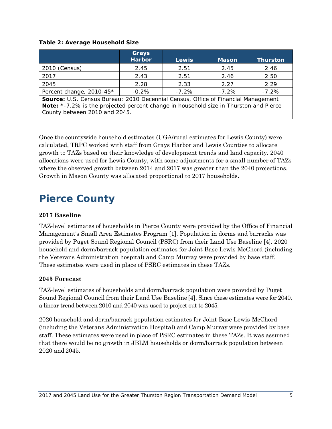#### **Table 2: Average Household Size**

|                                                                                   | Grays<br><b>Harbor</b> | <b>Lewis</b> | <b>Mason</b> | <b>Thurston</b> |  |
|-----------------------------------------------------------------------------------|------------------------|--------------|--------------|-----------------|--|
| 2010 (Census)                                                                     | 2.45                   | 2.51         | 2.45         | 2.46            |  |
| 2017                                                                              | 2.43                   | 2.51         | 2.46         | 2.50            |  |
| 2045                                                                              | 2.28                   | 2.33         | 2.27         | 2.29            |  |
| Percent change, 2010-45*                                                          | $-0.2%$                | $-7.2\%$     | $-7.2%$      | $-7.2%$         |  |
| Source: U.S. Census Bureau: 2010 Decennial Census, Office of Financial Management |                        |              |              |                 |  |

*Note: \*-7.2% is the projected percent change in household size in Thurston and Pierce County between 2010 and 2045.*

Once the countywide household estimates (UGA/rural estimates for Lewis County) were calculated, TRPC worked with staff from Grays Harbor and Lewis Counties to allocate growth to TAZs based on their knowledge of development trends and land capacity. 2040 allocations were used for Lewis County, with some adjustments for a small number of TAZs where the observed growth between 2014 and 2017 was greater than the 2040 projections. Growth in Mason County was allocated proportional to 2017 households.

### <span id="page-4-0"></span>**Pierce County**

### **2017 Baseline**

TAZ-level estimates of households in Pierce County were provided by the Office of Financial Management's Small Area Estimates Program [1]. Population in dorms and barracks was provided by Puget Sound Regional Council (PSRC) from their Land Use Baseline [4]. 2020 household and dorm/barrack population estimates for Joint Base Lewis-McChord (including the Veterans Administration hospital) and Camp Murray were provided by base staff. These estimates were used in place of PSRC estimates in these TAZs.

#### **2045 Forecast**

TAZ-level estimates of households and dorm/barrack population were provided by Puget Sound Regional Council from their Land Use Baseline [4]. Since these estimates were for 2040, a linear trend between 2010 and 2040 was used to project out to 2045.

2020 household and dorm/barrack population estimates for Joint Base Lewis-McChord (including the Veterans Administration Hospital) and Camp Murray were provided by base staff. These estimates were used in place of PSRC estimates in these TAZs. It was assumed that there would be no growth in JBLM households or dorm/barrack population between 2020 and 2045.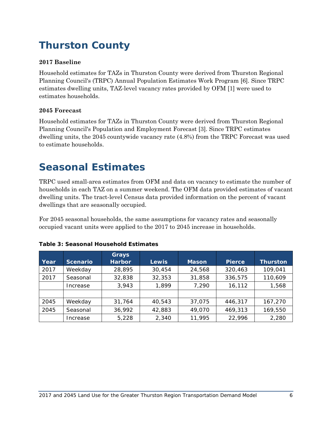## <span id="page-5-0"></span>**Thurston County**

### **2017 Baseline**

Household estimates for TAZs in Thurston County were derived from Thurston Regional Planning Council's (TRPC) Annual Population Estimates Work Program [6]. Since TRPC estimates dwelling units, TAZ-level vacancy rates provided by OFM [1] were used to estimates households.

### **2045 Forecast**

Household estimates for TAZs in Thurston County were derived from Thurston Regional Planning Council's Population and Employment Forecast [3]. Since TRPC estimates dwelling units, the 2045 countywide vacancy rate (4.8%) from the TRPC Forecast was used to estimate households.

### <span id="page-5-1"></span>**Seasonal Estimates**

TRPC used small-area estimates from OFM and data on vacancy to estimate the number of households in each TAZ on a summer weekend. The OFM data provided estimates of vacant dwelling units. The tract-level Census data provided information on the percent of vacant dwellings that are seasonally occupied.

For 2045 seasonal households, the same assumptions for vacancy rates and seasonally occupied vacant units were applied to the 2017 to 2045 increase in households.

|      |                 | Grays         |        |              |               |                 |
|------|-----------------|---------------|--------|--------------|---------------|-----------------|
| Year | <b>Scenario</b> | <b>Harbor</b> | Lewis, | <b>Mason</b> | <b>Pierce</b> | <b>Thurston</b> |
| 2017 | Weekday         | 28,895        | 30,454 | 24,568       | 320,463       | 109,041         |
| 2017 | Seasonal        | 32,838        | 32,353 | 31,858       | 336,575       | 110,609         |
|      | Increase        | 3,943         | 1,899  | 7,290        | 16,112        | 1,568           |
|      |                 |               |        |              |               |                 |
| 2045 | Weekday         | 31,764        | 40,543 | 37.075       | 446.317       | 167,270         |
| 2045 | Seasonal        | 36,992        | 42,883 | 49,070       | 469,313       | 169,550         |
|      | Increase        | 5,228         | 2,340  | 11,995       | 22,996        | 2,280           |

#### **Table 3: Seasonal Household Estimates**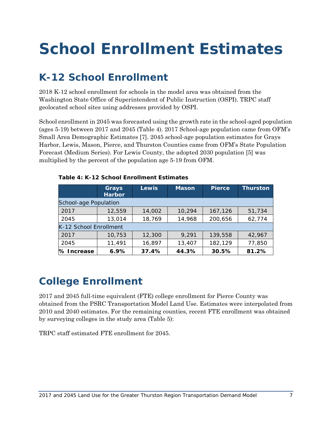# <span id="page-6-0"></span>**School Enrollment Estimates**

### <span id="page-6-1"></span>**K-12 School Enrollment**

2018 K-12 school enrollment for schools in the model area was obtained from the Washington State Office of Superintendent of Public Instruction (OSPI). TRPC staff geolocated school sites using addresses provided by OSPI.

School enrollment in 2045 was forecasted using the growth rate in the school-aged population (ages 5-19) between 2017 and 2045 [\(Table 4\)](#page-6-3). 2017 School-age population came from OFM's Small Area Demographic Estimates [7]. 2045 school-age population estimates for Grays Harbor, Lewis, Mason, Pierce, and Thurston Counties came from OFM's State Population Forecast (Medium Series). For Lewis County, the adopted 2030 population [5] was multiplied by the percent of the population age 5-19 from OFM.

|                        | Grays<br><b>Harbor</b> | <b>Lewis</b> | <b>Mason</b> | <b>Pierce</b> | Thurston |
|------------------------|------------------------|--------------|--------------|---------------|----------|
| School-age Population  |                        |              |              |               |          |
| 2017                   | 12,559                 | 14,002       | 10,294       | 167,126       | 51,734   |
| 2045                   | 13,014                 | 18,769       | 14,968       | 200,656       | 62,774   |
| K-12 School Enrollment |                        |              |              |               |          |
| 2017                   | 10,753                 | 12,300       | 9,291        | 139,558       | 42,967   |
| 2045                   | 11,491                 | 16,897       | 13,407       | 182,129       | 77,850   |
| % Increase             | 6.9%                   | 37.4%        | 44.3%        | 30.5%         | 81.2%    |

### <span id="page-6-3"></span>**Table 4: K-12 School Enrollment Estimates**

### <span id="page-6-2"></span>**College Enrollment**

2017 and 2045 full-time equivalent (FTE) college enrollment for Pierce County was obtained from the PSRC Transportation Model Land Use. Estimates were interpolated from 2010 and 2040 estimates. For the remaining counties, recent FTE enrollment was obtained by surveying colleges in the study area [\(Table 5\)](#page-7-1):

TRPC staff estimated FTE enrollment for 2045.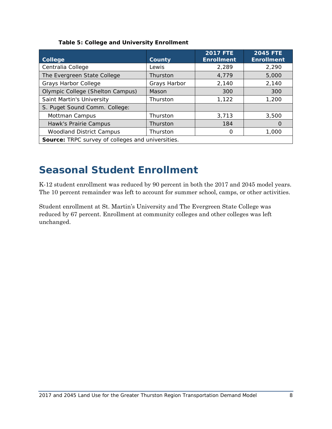<span id="page-7-1"></span>

| <b>College</b>                                    | County       | <b>2017 FTE</b><br><b>Enrollment</b> | <b>2045 FTE</b><br><b>Enrollment</b> |  |  |
|---------------------------------------------------|--------------|--------------------------------------|--------------------------------------|--|--|
| Centralia College                                 | Lewis        | 2,289                                | 2,290                                |  |  |
| The Evergreen State College                       | Thurston     | 4,779                                | 5,000                                |  |  |
| <b>Grays Harbor College</b>                       | Grays Harbor | 2,140                                | 2,140                                |  |  |
| <b>Olympic College (Shelton Campus)</b>           | Mason        | 300                                  | 300                                  |  |  |
| Saint Martin's University                         | Thurston     | 1,122                                | 1,200                                |  |  |
| S. Puget Sound Comm. College:                     |              |                                      |                                      |  |  |
| Mottman Campus                                    | Thurston     | 3,713                                | 3,500                                |  |  |
| Hawk's Prairie Campus                             | Thurston     | 184                                  | $\left($                             |  |  |
| <b>Woodland District Campus</b>                   | Thurston     | 0                                    | 1,000                                |  |  |
| Source: TRPC survey of colleges and universities. |              |                                      |                                      |  |  |

### <span id="page-7-0"></span>**Seasonal Student Enrollment**

K-12 student enrollment was reduced by 90 percent in both the 2017 and 2045 model years. The 10 percent remainder was left to account for summer school, camps, or other activities.

Student enrollment at St. Martin's University and The Evergreen State College was reduced by 67 percent. Enrollment at community colleges and other colleges was left unchanged.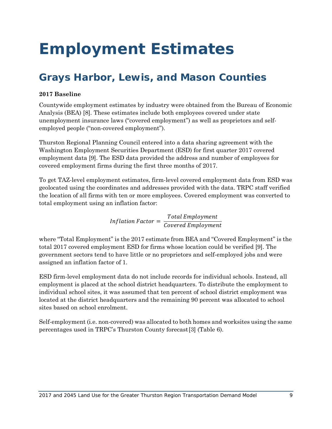## <span id="page-8-0"></span>**Employment Estimates**

## <span id="page-8-1"></span>**Grays Harbor, Lewis, and Mason Counties**

### **2017 Baseline**

Countywide employment estimates by industry were obtained from the Bureau of Economic Analysis (BEA) [8]. These estimates include both employees covered under state unemployment insurance laws ("covered employment") as well as proprietors and selfemployed people ("non-covered employment").

Thurston Regional Planning Council entered into a data sharing agreement with the Washington Employment Securities Department (ESD) for first quarter 2017 covered employment data [9]. The ESD data provided the address and number of employees for covered employment firms during the first three months of 2017.

To get TAZ-level employment estimates, firm-level covered employment data from ESD was geolocated using the coordinates and addresses provided with the data. TRPC staff verified the location of all firms with ten or more employees. Covered employment was converted to total employment using an inflation factor:

<span id="page-8-2"></span>Inflation Factor =  $\frac{Total\ Employmer}{Covered\ Employm}$ 

where "Total Employment" is the 2017 estimate from BEA and "Covered Employment" is the total 2017 covered employment ESD for firms whose location could be verified [9]. The government sectors tend to have little or no proprietors and self-employed jobs and were assigned an inflation factor of 1.

ESD firm-level employment data do not include records for individual schools. Instead, all employment is placed at the school district headquarters. To distribute the employment to individual school sites, it was assumed that ten percent of school district employment was located at the district headquarters and the remaining 90 percent was allocated to school sites based on school enrolment.

Self-employment (i.e. non-covered) was allocated to both homes and worksites using the same percentages used in TRPC's Thurston County forecast[3] [\(Table 6\)](#page-8-2).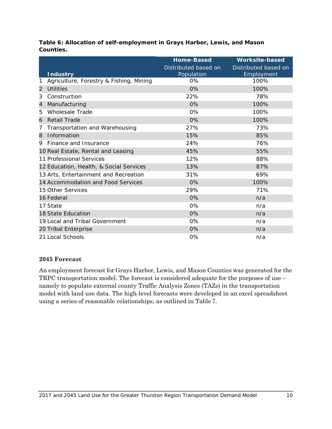| Table 6: Allocation of self-employment in Grays Harbor, Lewis, and Mason |  |
|--------------------------------------------------------------------------|--|
| Counties.                                                                |  |

|   |                                         | <b>Home-Based</b>    | <b>Worksite-based</b> |
|---|-----------------------------------------|----------------------|-----------------------|
|   |                                         | Distributed based on | Distributed based on  |
|   | <b>Industry</b>                         | Population           | Employment            |
| 1 | Agriculture, Forestry & Fishing, Mining | $0\%$                | 100%                  |
| 2 | <b>Utilities</b>                        | 0%                   | 100%                  |
| 3 | Construction                            | 22%                  | 78%                   |
| 4 | Manufacturing                           | 0%                   | 100%                  |
| 5 | <b>Wholesale Trade</b>                  | 0%                   | 100%                  |
| 6 | <b>Retail Trade</b>                     | 0%                   | 100%                  |
| 7 | Transportation and Warehousing          | 27%                  | 73%                   |
| 8 | Information                             | 15%                  | 85%                   |
| 9 | Finance and Insurance                   | 24%                  | 76%                   |
|   | 10 Real Estate, Rental and Leasing      | 45%                  | 55%                   |
|   | 11 Professional Services                | 12%                  | 88%                   |
|   | 12 Education, Health, & Social Services | 13%                  | 87%                   |
|   | 13 Arts, Entertainment and Recreation   | 31%                  | 69%                   |
|   | 14 Accommodation and Food Services      | 0%                   | 100%                  |
|   | 15 Other Services                       | 29%                  | 71%                   |
|   | 16 Federal                              | 0%                   | n/a                   |
|   | 17 State                                | 0%                   | n/a                   |
|   | 18 State Education                      | 0%                   | n/a                   |
|   | 19 Local and Tribal Government          | 0%                   | n/a                   |
|   | 20 Tribal Enterprise                    | 0%                   | n/a                   |
|   | 21 Local Schools                        | 0%                   | n/a                   |

### **Forecast**

An employment forecast for Grays Harbor, Lewis, and Mason Counties was generated for the TRPC transportation model. The forecast is considered adequate for the purposes of use – namely to populate external county Traffic Analysis Zones (TAZs) in the transportation model with land use data. The high-level forecasts were developed in an excel spreadsheet using a series of reasonable relationships, as outlined in [Table](#page-10-1) 7.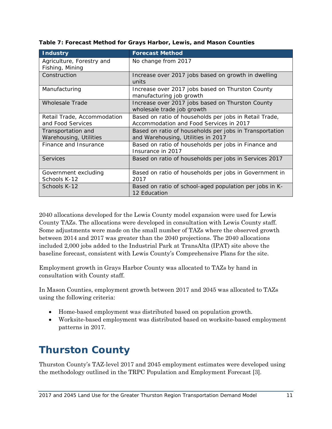| <b>Industry</b>                                  | <b>Forecast Method</b>                                                                            |
|--------------------------------------------------|---------------------------------------------------------------------------------------------------|
| Agriculture, Forestry and<br>Fishing, Mining     | No change from 2017                                                                               |
| Construction                                     | Increase over 2017 jobs based on growth in dwelling<br>units                                      |
| Manufacturing                                    | Increase over 2017 jobs based on Thurston County<br>manufacturing job growth                      |
| <b>Wholesale Trade</b>                           | Increase over 2017 jobs based on Thurston County<br>wholesale trade job growth                    |
| Retail Trade, Accommodation<br>and Food Services | Based on ratio of households per jobs in Retail Trade,<br>Accommodation and Food Services in 2017 |
| Transportation and<br>Warehousing, Utilities     | Based on ratio of households per jobs in Transportation<br>and Warehousing, Utilities in 2017     |
| Finance and Insurance                            | Based on ratio of households per jobs in Finance and<br>Insurance in 2017                         |
| Services                                         | Based on ratio of households per jobs in Services 2017                                            |
| Government excluding<br>Schools K-12             | Based on ratio of households per jobs in Government in<br>2017                                    |
| Schools K-12                                     | Based on ratio of school-aged population per jobs in K-<br>12 Education                           |

<span id="page-10-1"></span>**Table 7: Forecast Method for Grays Harbor, Lewis, and Mason Counties**

2040 allocations developed for the Lewis County model expansion were used for Lewis County TAZs. The allocations were developed in consultation with Lewis County staff. Some adjustments were made on the small number of TAZs where the observed growth between 2014 and 2017 was greater than the 2040 projections. The 2040 allocations included 2,000 jobs added to the Industrial Park at TransAlta (IPAT) site above the baseline forecast, consistent with Lewis County's Comprehensive Plans for the site.

Employment growth in Grays Harbor County was allocated to TAZs by hand in consultation with County staff.

In Mason Counties, employment growth between 2017 and 2045 was allocated to TAZs using the following criteria:

- Home-based employment was distributed based on population growth.
- Worksite-based employment was distributed based on worksite-based employment patterns in 2017.

## <span id="page-10-0"></span>**Thurston County**

Thurston County's TAZ-level 2017 and 2045 employment estimates were developed using the methodology outlined in the TRPC Population and Employment Forecast [3].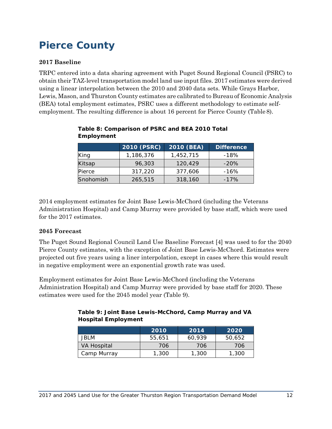### <span id="page-11-0"></span>**Pierce County**

### **2017 Baseline**

TRPC entered into a data sharing agreement with Puget Sound Regional Council (PSRC) to obtain their TAZ-level transportation model land use input files. 2017 estimates were derived using a linear interpolation between the 2010 and 2040 data sets. While Grays Harbor, Lewis, Mason, and Thurston County estimates are calibrated to Bureau of Economic Analysis (BEA) total employment estimates, PSRC uses a different methodology to estimate selfemployment. The resulting difference is about 16 percent for Pierce County [\(Table](#page-11-1) 8).

|           | 2010 (PSRC) | 2010 (BEA) | <b>Difference</b> |
|-----------|-------------|------------|-------------------|
| King      | 1,186,376   | 1,452,715  | -18%              |
| Kitsap    | 96,303      | 120,429    | $-20\%$           |
| Pierce    | 317,220     | 377,606    | $-16%$            |
| Snohomish | 265,515     | 318,160    | $-17%$            |

### <span id="page-11-1"></span>**Table 8: Comparison of PSRC and BEA 2010 Total Employment**

2014 employment estimates for Joint Base Lewis-McChord (including the Veterans Administration Hospital) and Camp Murray were provided by base staff, which were used for the 2017 estimates.

### **2045 Forecast**

The Puget Sound Regional Council Land Use Baseline Forecast [4] was used to for the 2040 Pierce County estimates, with the exception of Joint Base Lewis-McChord. Estimates were projected out five years using a liner interpolation, except in cases where this would result in negative employment were an exponential growth rate was used.

<span id="page-11-2"></span>Employment estimates for Joint Base Lewis-McChord (including the Veterans Administration Hospital) and Camp Murray were provided by base staff for 2020. These estimates were used for the 2045 model year [\(Table 9](#page-11-2)).

| Table 9: Joint Base Lewis-McChord, Camp Murray and VA |  |  |
|-------------------------------------------------------|--|--|
| <b>Hospital Employment</b>                            |  |  |

|             | 2010   | 2014   | 2020   |
|-------------|--------|--------|--------|
| JBLM        | 55.651 | 60.939 | 50,652 |
| VA Hospital | 706    | 706    | 706    |
| Camp Murray | 1,300  | 1,300  | 1,300  |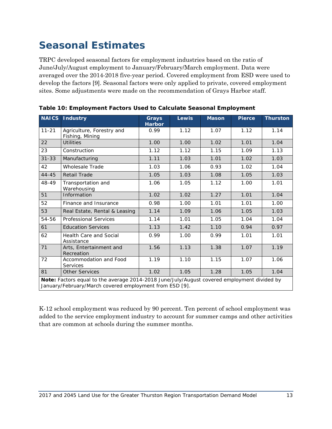### <span id="page-12-0"></span>**Seasonal Estimates**

TRPC developed seasonal factors for employment industries based on the ratio of June/July/August employment to January/February/March employment. Data were averaged over the 2014-2018 five-year period. Covered employment from ESD were used to develop the factors [9]. Seasonal factors were only applied to private, covered employment sites. Some adjustments were made on the recommendation of Grays Harbor staff.

| <b>NAICS</b>                                                                                                                                           | <b>Industry</b>                              | <b>Grays</b><br><b>Harbor</b> | Lewis | <b>Mason</b> | <b>Pierce</b> | <b>Thurston</b> |
|--------------------------------------------------------------------------------------------------------------------------------------------------------|----------------------------------------------|-------------------------------|-------|--------------|---------------|-----------------|
| $11 - 21$                                                                                                                                              | Agriculture, Forestry and<br>Fishing, Mining | 0.99                          | 1.12  | 1.07         | 1.12          | 1.14            |
| 22                                                                                                                                                     | <b>Utilities</b>                             | 1.00                          | 1.00  | 1.02         | 1.01          | 1.04            |
| 23                                                                                                                                                     | Construction                                 | 1.12                          | 1.12  | 1.15         | 1.09          | 1.13            |
| $31 - 33$                                                                                                                                              | Manufacturing                                | 1.11                          | 1.03  | 1.01         | 1.02          | 1.03            |
| 42                                                                                                                                                     | Wholesale Trade                              | 1.03                          | 1.06  | 0.93         | 1.02          | 1.04            |
| $44 - 45$                                                                                                                                              | Retail Trade                                 | 1.05                          | 1.03  | 1.08         | 1.05          | 1.03            |
| 48-49                                                                                                                                                  | Transportation and<br>Warehousing            | 1.06                          | 1.05  | 1.12         | 1.00          | 1.01            |
| 51                                                                                                                                                     | Information                                  | 1.02                          | 1.02  | 1.27         | 1.01          | 1.04            |
| 52                                                                                                                                                     | Finance and Insurance                        | 0.98                          | 1.00  | 1.01         | 1.01          | 1.00            |
| 53                                                                                                                                                     | Real Estate, Rental & Leasing                | 1.14                          | 1.09  | 1.06         | 1.05          | 1.03            |
| 54-56                                                                                                                                                  | <b>Professional Services</b>                 | 1.14                          | 1.01  | 1.05         | 1.04          | 1.04            |
| 61                                                                                                                                                     | <b>Education Services</b>                    | 1.13                          | 1.42  | 1.10         | 0.94          | 0.97            |
| 62                                                                                                                                                     | <b>Health Care and Social</b><br>Assistance  | 0.99                          | 1.00  | 0.99         | 1.01          | 1.01            |
| 71                                                                                                                                                     | Arts, Entertainment and<br>Recreation        | 1.56                          | 1.13  | 1.38         | 1.07          | 1.19            |
| 72                                                                                                                                                     | Accommodation and Food<br><b>Services</b>    | 1.19                          | 1.10  | 1.15         | 1.07          | 1.06            |
| 81                                                                                                                                                     | <b>Other Services</b>                        | 1.02                          | 1.05  | 1.28         | 1.05          | 1.04            |
| Note: Factors equal to the average 2014-2018 June/July/August covered employment divided by<br>January/February/March covered employment from ESD [9]. |                                              |                               |       |              |               |                 |

K-12 school employment was reduced by 90 percent. Ten percent of school employment was added to the service employment industry to account for summer camps and other activities that are common at schools during the summer months.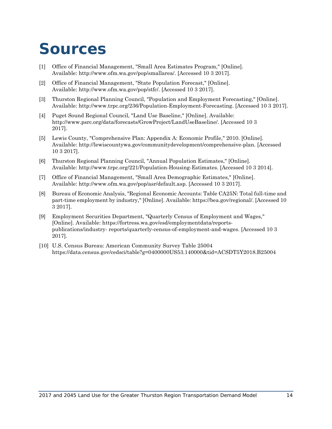## <span id="page-13-0"></span>**Sources**

- [1] Office of Financial Management, "Small Area Estimates Program," [Online]. Available: [http://www.ofm.wa.gov/pop/smallarea/.](http://www.ofm.wa.gov/pop/smallarea/) [Accessed 10 3 2017].
- [2] Office of Financial Management, "State Population Forecast," [Online]. Available: [http://www.ofm.wa.gov/pop/stfc/.](http://www.ofm.wa.gov/pop/stfc/) [Accessed 10 3 2017].
- [3] Thurston Regional Planning Council, "Population and Employment Forecasting," [Online]. Available: [http://www.trpc.org/236/Population-Employment-Forecasting.](http://www.trpc.org/236/Population-Employment-Forecasting) [Accessed 10 3 2017].
- [4] Puget Sound Regional Council, "Land Use Baseline," [Online]. Available: [http://www.psrc.org/data/forecasts/GrowProject/LandUseBaseline/.](http://www.psrc.org/data/forecasts/GrowProject/LandUseBaseline/) [Accessed 10 3 2017].
- [5] Lewis County, "Comprehensive Plan: Appendix A: Economic Profile," 2010. [Online]. Available: [http://lewiscountywa.gov/communitydevelopment/comprehensive-plan.](http://lewiscountywa.gov/communitydevelopment/comprehensive-plan) [Accessed 10 3 2017].
- [6] Thurston Regional Planning Council, "Annual Population Estimates," [Online]. Available: [http://www.trpc.org/221/Population-Housing-Estimates.](http://www.trpc.org/221/Population-Housing-Estimates) [Accessed 10 3 2014].
- [7] Office of Financial Management, "Small Area Demographic Estimates," [Online]. Available: [http://www.ofm.wa.gov/pop/asr/default.asp.](http://www.ofm.wa.gov/pop/asr/default.asp) [Accessed 10 3 2017].
- [8] Bureau of Economic Analysis, "Regional Economic Accounts: Table CA25N: Total full-time and part-time employment by industry," [Online]. Available: https://bea.gov/regional/. [Accessed 10 3 2017].
- [9] Employment Securities Department, "Quarterly Census of Employment and Wages," [Online]. Available: https://fortress.wa.gov/esd/employmentdata/reportspublications/industry- reports/quarterly-census-of-employment-and-wages. [Accessed 10 3 2017].
- [10] U.S. Census Bureau: American Community Survey Table 25004 https://data.census.gov/cedsci/table?g=0400000US53.140000&tid=ACSDT5Y2018.B25004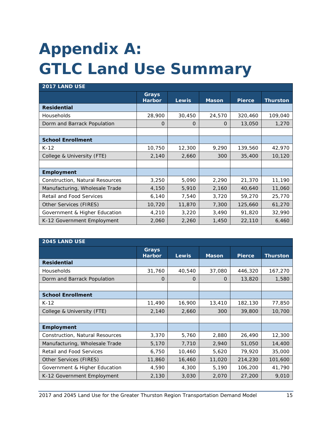# <span id="page-14-0"></span>**Appendix A: GTLC Land Use Summary**

| <b>2017 LAND USE</b>                   |                               |              |              |               |          |  |
|----------------------------------------|-------------------------------|--------------|--------------|---------------|----------|--|
|                                        | <b>Grays</b><br><b>Harbor</b> | <b>Lewis</b> | <b>Mason</b> | <b>Pierce</b> | Thurston |  |
| <b>Residential</b>                     |                               |              |              |               |          |  |
| Households                             | 28,900                        | 30,450       | 24,570       | 320,460       | 109,040  |  |
| Dorm and Barrack Population            | O                             | $\Omega$     | $\Omega$     | 13,050        | 1,270    |  |
|                                        |                               |              |              |               |          |  |
| <b>School Enrollment</b>               |                               |              |              |               |          |  |
| $K-12$                                 | 10,750                        | 12,300       | 9,290        | 139,560       | 42,970   |  |
| College & University (FTE)             | 2,140                         | 2,660        | 300          | 35,400        | 10,120   |  |
|                                        |                               |              |              |               |          |  |
| <b>Employment</b>                      |                               |              |              |               |          |  |
| <b>Construction, Natural Resources</b> | 3,250                         | 5,090        | 2,290        | 21,370        | 11,190   |  |
| Manufacturing, Wholesale Trade         | 4,150                         | 5,910        | 2,160        | 40,640        | 11,060   |  |
| <b>Retail and Food Services</b>        | 6,140                         | 7,540        | 3,720        | 59,270        | 25,770   |  |
| Other Services (FIRES)                 | 10,720                        | 11,870       | 7,300        | 125,660       | 61,270   |  |
| Government & Higher Education          | 4,210                         | 3,220        | 3,490        | 91,820        | 32,990   |  |
| K-12 Government Employment             | 2,060                         | 2,260        | 1,450        | 22,110        | 6,460    |  |

| 2045 LAND USE                          |                        |          |              |               |                 |
|----------------------------------------|------------------------|----------|--------------|---------------|-----------------|
|                                        | Grays<br><b>Harbor</b> | Lewis    | <b>Mason</b> | <b>Pierce</b> | <b>Thurston</b> |
| <b>Residential</b>                     |                        |          |              |               |                 |
| <b>Households</b>                      | 31,760                 | 40,540   | 37,080       | 446,320       | 167,270         |
| Dorm and Barrack Population            | O                      | $\Omega$ | $\Omega$     | 13,820        | 1,580           |
|                                        |                        |          |              |               |                 |
| <b>School Enrollment</b>               |                        |          |              |               |                 |
| $K-12$                                 | 11,490                 | 16,900   | 13,410       | 182,130       | 77,850          |
| College & University (FTE)             | 2,140                  | 2,660    | 300          | 39,800        | 10,700          |
|                                        |                        |          |              |               |                 |
| <b>Employment</b>                      |                        |          |              |               |                 |
| <b>Construction, Natural Resources</b> | 3,370                  | 5,760    | 2,880        | 26,490        | 12,300          |
| Manufacturing, Wholesale Trade         | 5,170                  | 7,710    | 2,940        | 51,050        | 14,400          |
| Retail and Food Services               | 6,750                  | 10,460   | 5,620        | 79,920        | 35,000          |
| Other Services (FIRES)                 | 11,860                 | 16,460   | 11,020       | 214,230       | 101,600         |
| Government & Higher Education          | 4,590                  | 4,300    | 5,190        | 106,200       | 41,790          |
| K-12 Government Employment             | 2,130                  | 3,030    | 2,070        | 27,200        | 9,010           |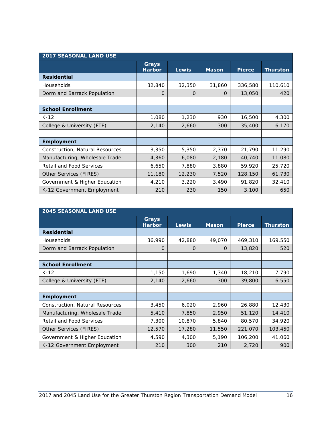| <b>2017 SEASONAL LAND USE</b>   |                        |              |              |               |                 |
|---------------------------------|------------------------|--------------|--------------|---------------|-----------------|
|                                 | Grays<br><b>Harbor</b> | <b>Lewis</b> | <b>Mason</b> | <b>Pierce</b> | <b>Thurston</b> |
| <b>Residential</b>              |                        |              |              |               |                 |
| Households                      | 32,840                 | 32,350       | 31,860       | 336,580       | 110,610         |
| Dorm and Barrack Population     | O                      | $\Omega$     | $\Omega$     | 13,050        | 420             |
|                                 |                        |              |              |               |                 |
| <b>School Enrollment</b>        |                        |              |              |               |                 |
| $K-12$                          | 1,080                  | 1,230        | 930          | 16,500        | 4,300           |
| College & University (FTE)      | 2,140                  | 2,660        | 300          | 35,400        | 6,170           |
|                                 |                        |              |              |               |                 |
| <b>Employment</b>               |                        |              |              |               |                 |
| Construction, Natural Resources | 3,350                  | 5,350        | 2,370        | 21,790        | 11,290          |
| Manufacturing, Wholesale Trade  | 4,360                  | 6,080        | 2,180        | 40,740        | 11,080          |
| <b>Retail and Food Services</b> | 6,650                  | 7,880        | 3,880        | 59,920        | 25,720          |
| Other Services (FIRES)          | 11,180                 | 12,230       | 7,520        | 128,150       | 61,730          |
| Government & Higher Education   | 4,210                  | 3,220        | 3,490        | 91,820        | 32,410          |
| K-12 Government Employment      | 210                    | 230          | 150          | 3,100         | 650             |

| <b>2045 SEASONAL LAND USE</b>   |                        |          |              |               |                 |  |
|---------------------------------|------------------------|----------|--------------|---------------|-----------------|--|
|                                 | Grays<br><b>Harbor</b> | Lewis    | <b>Mason</b> | <b>Pierce</b> | <b>Thurston</b> |  |
| <b>Residential</b>              |                        |          |              |               |                 |  |
| Households                      | 36,990                 | 42,880   | 49,070       | 469,310       | 169,550         |  |
| Dorm and Barrack Population     | $\Omega$               | $\Omega$ | $\Omega$     | 13,820        | 520             |  |
|                                 |                        |          |              |               |                 |  |
| <b>School Enrollment</b>        |                        |          |              |               |                 |  |
| $K-12$                          | 1,150                  | 1,690    | 1,340        | 18,210        | 7,790           |  |
| College & University (FTE)      | 2,140                  | 2,660    | 300          | 39,800        | 6,550           |  |
|                                 |                        |          |              |               |                 |  |
| <b>Employment</b>               |                        |          |              |               |                 |  |
| Construction, Natural Resources | 3,450                  | 6,020    | 2,960        | 26,880        | 12,430          |  |
| Manufacturing, Wholesale Trade  | 5,410                  | 7,850    | 2,950        | 51,120        | 14,410          |  |
| <b>Retail and Food Services</b> | 7,300                  | 10,870   | 5,840        | 80,570        | 34,920          |  |
| Other Services (FIRES)          | 12,570                 | 17,280   | 11,550       | 221,070       | 103,450         |  |
| Government & Higher Education   | 4,590                  | 4,300    | 5,190        | 106,200       | 41,060          |  |
| K-12 Government Employment      | 210                    | 300      | 210          | 2,720         | 900             |  |